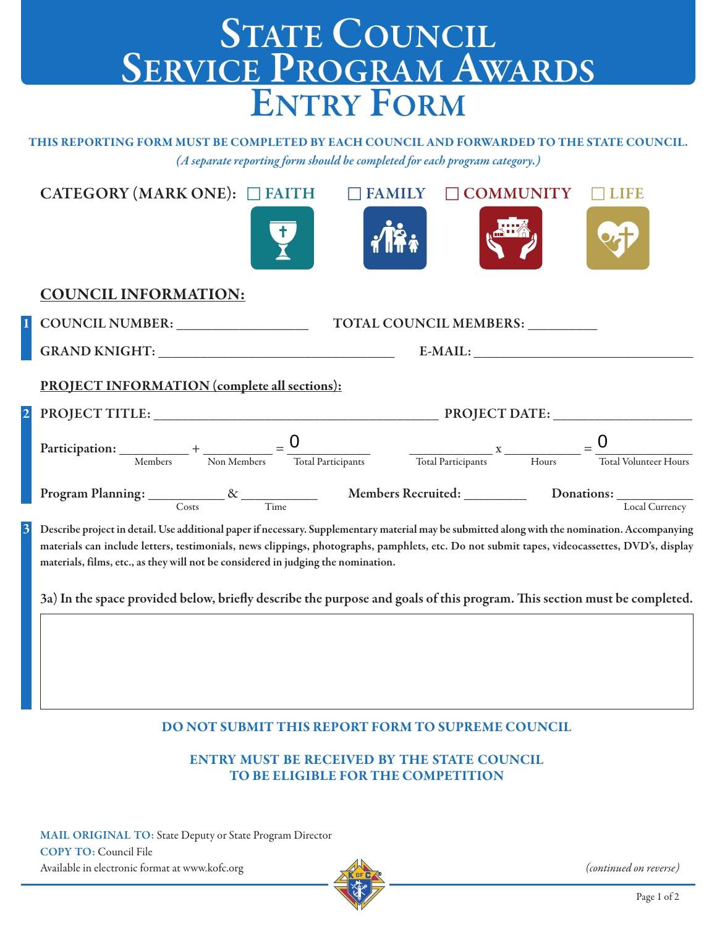## STATE COUNCIL **ServiCe Program awardS entry Form**

**THIS REPORTING FORM MUST BE COMPLETED BY EACH COUNCIL AND FORWARDED TO THE STATE COUNCIL.** *(A separate reporting form should be completed for each program category.)*

| CATEGORY (MARK ONE): $\Box$ FAITH                                                                                                                                                                                                                                                               | <b>FAMILY</b> | <b>COMMUNITY</b>       | LIFE                         |  |
|-------------------------------------------------------------------------------------------------------------------------------------------------------------------------------------------------------------------------------------------------------------------------------------------------|---------------|------------------------|------------------------------|--|
|                                                                                                                                                                                                                                                                                                 |               |                        |                              |  |
| <b>COUNCIL INFORMATION:</b>                                                                                                                                                                                                                                                                     |               |                        |                              |  |
| COUNCIL NUMBER: _________________                                                                                                                                                                                                                                                               |               | TOTAL COUNCIL MEMBERS: |                              |  |
|                                                                                                                                                                                                                                                                                                 |               | $E-MAIL:$              |                              |  |
| <b>PROJECT INFORMATION (complete all sections):</b>                                                                                                                                                                                                                                             |               |                        |                              |  |
|                                                                                                                                                                                                                                                                                                 |               |                        |                              |  |
| Participation: $\underbrace{\hspace{2cm}}_{\text{Members}} + \underbrace{\hspace{2cm}}_{\text{Non Members}} = \underbrace{\hspace{2cm} 0}{\hspace{2cm} {\text{Total Participants}}}$                                                                                                            |               |                        | <b>Total Volunteer Hours</b> |  |
| Program Planning: <u>Costs Costs</u> X Time Members Recruited: Donations: Local Curren                                                                                                                                                                                                          |               |                        | Local Currency               |  |
| Describe project in detail. Use additional paper if necessary. Supplementary material may be submitted along with the nomination. Accompanying<br>materials can include letters, testimonials, news clippings, photographs, pamphlets, etc. Do not submit tapes, videocassettes, DVD's, display |               |                        |                              |  |

3a) In the space provided below, briefly describe the purpose and goals of this program. This section must be completed.

**DO NOT SUBMIT THIS REPORT FORM TO SUPREME COUNCIL**

**ENTRY MUST BE RECEIVED BY THE STATE COUNCIL TO BE ELIGIBLE FOR THE COMPETITION**

**MAIL ORIGINAL TO:** State Deputy or State Program Director **CoPy to:** Council File Available in electronic format at www.kofc.org

**materials, films, etc., as they will not be considered in judging the nomination.**



(continued on reverse)